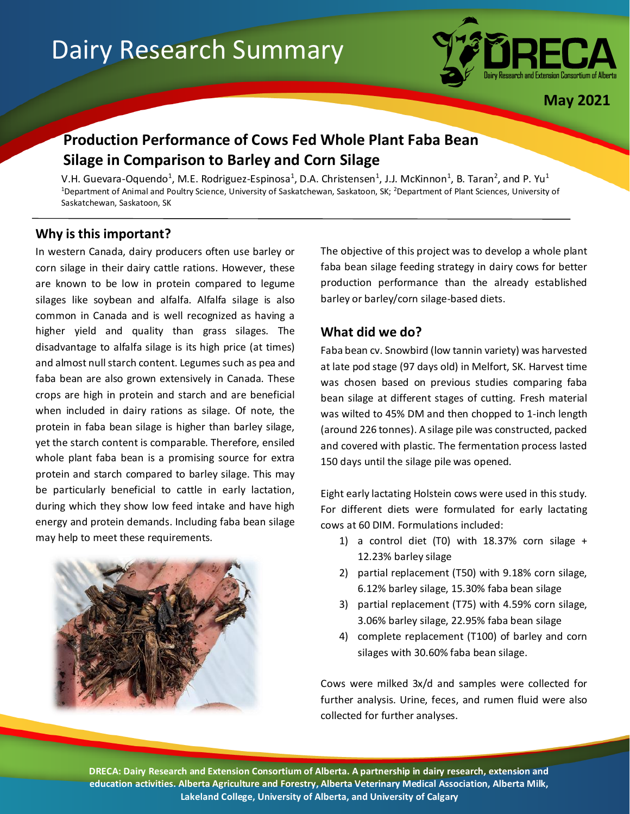# Dairy Research Summary



**May 2021**

# **Production Performance of Cows Fed Whole Plant Faba Bean Silage in Comparison to Barley and Corn Silage**

V.H. Guevara-Oquendo<sup>1</sup>, M.E. Rodriguez-Espinosa<sup>1</sup>, D.A. Christensen<sup>1</sup>, J.J. McKinnon<sup>1</sup>, B. Taran<sup>2</sup>, and P. Yu<sup>1</sup> <sup>1</sup>Department of Animal and Poultry Science, University of Saskatchewan, Saskatoon, SK; <sup>2</sup>Department of Plant Sciences, University of Saskatchewan, Saskatoon, SK

## **Why is this important?**

In western Canada, dairy producers often use barley or corn silage in their dairy cattle rations. However, these are known to be low in protein compared to legume silages like soybean and alfalfa. Alfalfa silage is also common in Canada and is well recognized as having a higher yield and quality than grass silages. The disadvantage to alfalfa silage is its high price (at times) and almost null starch content. Legumes such as pea and faba bean are also grown extensively in Canada. These crops are high in protein and starch and are beneficial when included in dairy rations as silage. Of note, the protein in faba bean silage is higher than barley silage, yet the starch content is comparable. Therefore, ensiled whole plant faba bean is a promising source for extra protein and starch compared to barley silage. This may be particularly beneficial to cattle in early lactation, during which they show low feed intake and have high energy and protein demands. Including faba bean silage may help to meet these requirements.



The objective of this project was to develop a whole plant faba bean silage feeding strategy in dairy cows for better production performance than the already established barley or barley/corn silage-based diets.

### **What did we do?**

Faba bean cv. Snowbird (low tannin variety) was harvested at late pod stage (97 days old) in Melfort, SK. Harvest time was chosen based on previous studies comparing faba bean silage at different stages of cutting. Fresh material was wilted to 45% DM and then chopped to 1-inch length (around 226 tonnes). A silage pile was constructed, packed and covered with plastic. The fermentation process lasted 150 days until the silage pile was opened.

Eight early lactating Holstein cows were used in this study. For different diets were formulated for early lactating cows at 60 DIM. Formulations included:

- 1) a control diet (T0) with  $18.37\%$  corn silage + 12.23% barley silage
- 2) partial replacement (T50) with 9.18% corn silage, 6.12% barley silage, 15.30% faba bean silage
- 3) partial replacement (T75) with 4.59% corn silage, 3.06% barley silage, 22.95% faba bean silage
- 4) complete replacement (T100) of barley and corn silages with 30.60% faba bean silage.

Cows were milked 3x/d and samples were collected for further analysis. Urine, feces, and rumen fluid were also collected for further analyses.

**DRECA: Dairy Research and Extension Consortium of Alberta. A partnership in dairy research, extension and education activities. Alberta Agriculture and Forestry, Alberta Veterinary Medical Association, Alberta Milk, Lakeland College, University of Alberta, and University of Calgary**